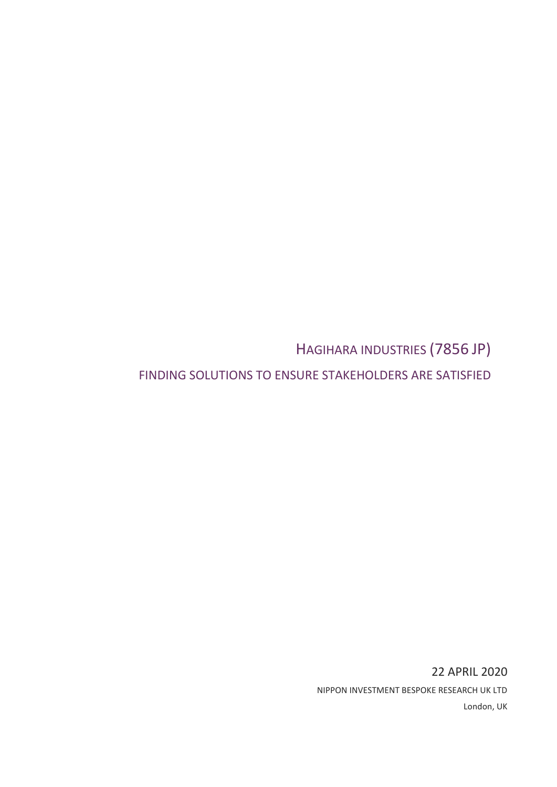HAGIHARA INDUSTRIES (7856 JP)

FINDING SOLUTIONS TO ENSURE STAKEHOLDERS ARE SATISFIED

22 APRIL 2020 NIPPON INVESTMENT BESPOKE RESEARCH UK LTD London, UK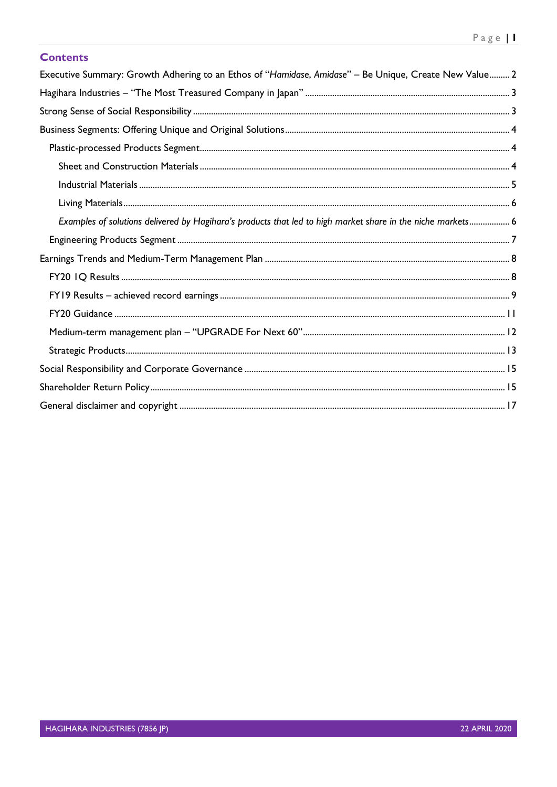# **Contents**

| Executive Summary: Growth Adhering to an Ethos of "Hamidase, Amidase" - Be Unique, Create New Value 2       |
|-------------------------------------------------------------------------------------------------------------|
|                                                                                                             |
|                                                                                                             |
|                                                                                                             |
|                                                                                                             |
|                                                                                                             |
|                                                                                                             |
|                                                                                                             |
| Examples of solutions delivered by Hagihara's products that led to high market share in the niche markets 6 |
|                                                                                                             |
|                                                                                                             |
|                                                                                                             |
|                                                                                                             |
|                                                                                                             |
|                                                                                                             |
|                                                                                                             |
|                                                                                                             |
|                                                                                                             |
|                                                                                                             |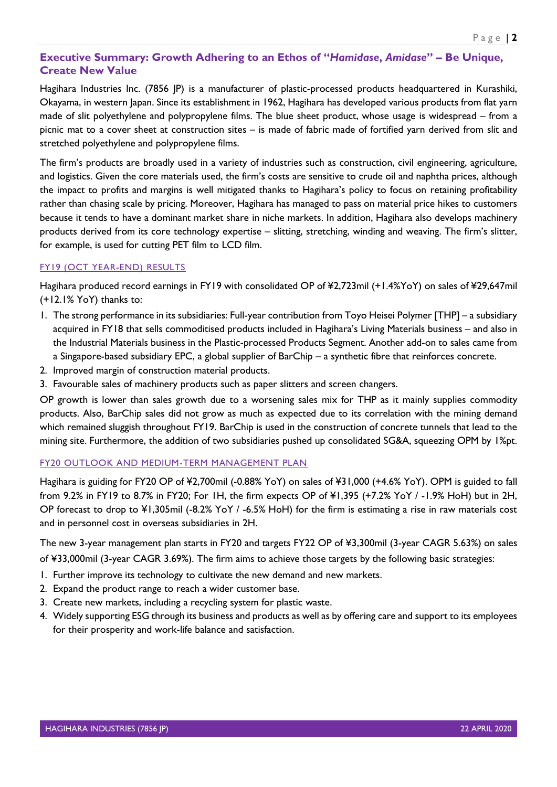# <span id="page-2-0"></span>**Executive Summary: Growth Adhering to an Ethos of "***Hamidase***,** *Amidase***" – Be Unique, Create New Value**

Hagihara Industries Inc. (7856 JP) is a manufacturer of plastic-processed products headquartered in Kurashiki, Okayama, in western Japan. Since its establishment in 1962, Hagihara has developed various products from flat yarn made of slit polyethylene and polypropylene films. The blue sheet product, whose usage is widespread – from a picnic mat to a cover sheet at construction sites – is made of fabric made of fortified yarn derived from slit and stretched polyethylene and polypropylene films.

The firm's products are broadly used in a variety of industries such as construction, civil engineering, agriculture, and logistics. Given the core materials used, the firm's costs are sensitive to crude oil and naphtha prices, although the impact to profits and margins is well mitigated thanks to Hagihara's policy to focus on retaining profitability rather than chasing scale by pricing. Moreover, Hagihara has managed to pass on material price hikes to customers because it tends to have a dominant market share in niche markets. In addition, Hagihara also develops machinery products derived from its core technology expertise – slitting, stretching, winding and weaving. The firm's slitter, for example, is used for cutting PET film to LCD film.

## FY19 (OCT YEAR-END) RESULTS

Hagihara produced record earnings in FY19 with consolidated OP of ¥2,723mil (+1.4%YoY) on sales of ¥29,647mil (+12.1% YoY) thanks to:

- 1. The strong performance in its subsidiaries: Full-year contribution from Toyo Heisei Polymer [THP] a subsidiary acquired in FY18 that sells commoditised products included in Hagihara's Living Materials business – and also in the Industrial Materials business in the Plastic-processed Products Segment. Another add-on to sales came from a Singapore-based subsidiary EPC, a global supplier of BarChip – a synthetic fibre that reinforces concrete.
- 2. Improved margin of construction material products.
- 3. Favourable sales of machinery products such as paper slitters and screen changers.

OP growth is lower than sales growth due to a worsening sales mix for THP as it mainly supplies commodity products. Also, BarChip sales did not grow as much as expected due to its correlation with the mining demand which remained sluggish throughout FY19. BarChip is used in the construction of concrete tunnels that lead to the mining site. Furthermore, the addition of two subsidiaries pushed up consolidated SG&A, squeezing OPM by 1%pt.

## FY20 OUTLOOK AND MEDIUM-TERM MANAGEMENT PLAN

Hagihara is guiding for FY20 OP of ¥2,700mil (-0.88% YoY) on sales of ¥31,000 (+4.6% YoY). OPM is guided to fall from 9.2% in FY19 to 8.7% in FY20; For 1H, the firm expects OP of ¥1,395 (+7.2% YoY / -1.9% HoH) but in 2H, OP forecast to drop to ¥1,305mil (-8.2% YoY / -6.5% HoH) for the firm is estimating a rise in raw materials cost and in personnel cost in overseas subsidiaries in 2H.

The new 3-year management plan starts in FY20 and targets FY22 OP of ¥3,300mil (3-year CAGR 5.63%) on sales of ¥33,000mil (3-year CAGR 3.69%). The firm aims to achieve those targets by the following basic strategies:

- 1. Further improve its technology to cultivate the new demand and new markets.
- 2. Expand the product range to reach a wider customer base.
- 3. Create new markets, including a recycling system for plastic waste.
- 4. Widely supporting ESG through its business and products as well as by offering care and support to its employees for their prosperity and work-life balance and satisfaction.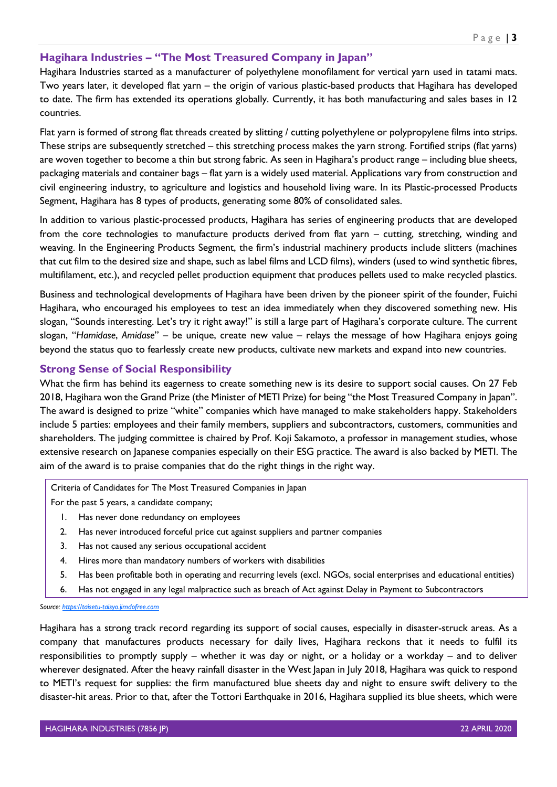# <span id="page-3-0"></span>**Hagihara Industries – "The Most Treasured Company in Japan"**

Hagihara Industries started as a manufacturer of polyethylene monofilament for vertical yarn used in tatami mats. Two years later, it developed flat yarn – the origin of various plastic-based products that Hagihara has developed to date. The firm has extended its operations globally. Currently, it has both manufacturing and sales bases in 12 countries.

Flat yarn is formed of strong flat threads created by slitting / cutting polyethylene or polypropylene films into strips. These strips are subsequently stretched – this stretching process makes the yarn strong. Fortified strips (flat yarns) are woven together to become a thin but strong fabric. As seen in Hagihara's product range – including blue sheets, packaging materials and container bags – flat yarn is a widely used material. Applications vary from construction and civil engineering industry, to agriculture and logistics and household living ware. In its Plastic-processed Products Segment, Hagihara has 8 types of products, generating some 80% of consolidated sales.

In addition to various plastic-processed products, Hagihara has series of engineering products that are developed from the core technologies to manufacture products derived from flat yarn – cutting, stretching, winding and weaving. In the Engineering Products Segment, the firm's industrial machinery products include slitters (machines that cut film to the desired size and shape, such as label films and LCD films), winders (used to wind synthetic fibres, multifilament, etc.), and recycled pellet production equipment that produces pellets used to make recycled plastics.

Business and technological developments of Hagihara have been driven by the pioneer spirit of the founder, Fuichi Hagihara, who encouraged his employees to test an idea immediately when they discovered something new. His slogan, "Sounds interesting. Let's try it right away!" is still a large part of Hagihara's corporate culture. The current slogan, "*Hamidase*, *Amidase*" – be unique, create new value – relays the message of how Hagihara enjoys going beyond the status quo to fearlessly create new products, cultivate new markets and expand into new countries.

## <span id="page-3-1"></span>**Strong Sense of Social Responsibility**

What the firm has behind its eagerness to create something new is its desire to support social causes. On 27 Feb 2018, Hagihara won the Grand Prize (the Minister of METI Prize) for being "the Most Treasured Company in Japan". The award is designed to prize "white" companies which have managed to make stakeholders happy. Stakeholders include 5 parties: employees and their family members, suppliers and subcontractors, customers, communities and shareholders. The judging committee is chaired by Prof. Koji Sakamoto, a professor in management studies, whose extensive research on Japanese companies especially on their ESG practice. The award is also backed by METI. The aim of the award is to praise companies that do the right things in the right way.

Criteria of Candidates for The Most Treasured Companies in Japan

For the past 5 years, a candidate company;

- 1. Has never done redundancy on employees
- 2. Has never introduced forceful price cut against suppliers and partner companies
- 3. Has not caused any serious occupational accident
- 4. Hires more than mandatory numbers of workers with disabilities
- 5. Has been profitable both in operating and recurring levels (excl. NGOs, social enterprises and educational entities)
- 6. Has not engaged in any legal malpractice such as breach of Act against Delay in Payment to Subcontractors

*Source[: https://taisetu-taisyo.jimdofree.com](https://taisetu-taisyo.jimdofree.com/)*

Hagihara has a strong track record regarding its support of social causes, especially in disaster-struck areas. As a company that manufactures products necessary for daily lives, Hagihara reckons that it needs to fulfil its responsibilities to promptly supply – whether it was day or night, or a holiday or a workday – and to deliver wherever designated. After the heavy rainfall disaster in the West Japan in July 2018, Hagihara was quick to respond to METI's request for supplies: the firm manufactured blue sheets day and night to ensure swift delivery to the disaster-hit areas. Prior to that, after the Tottori Earthquake in 2016, Hagihara supplied its blue sheets, which were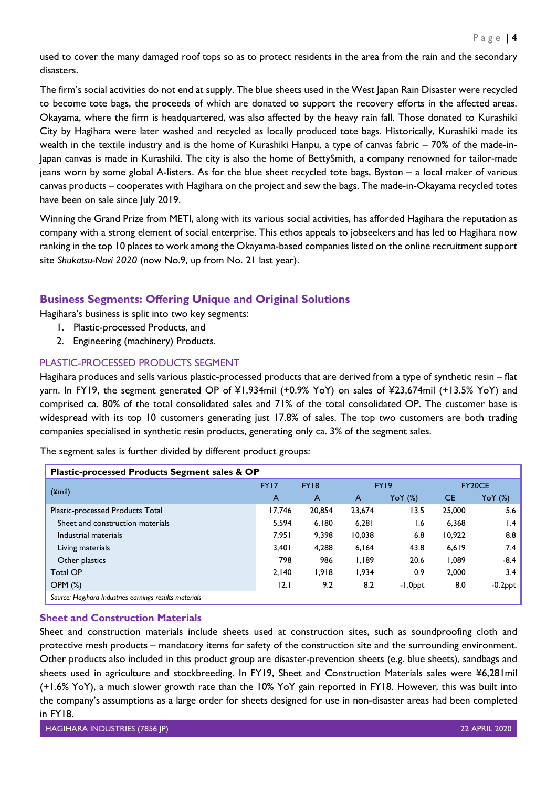used to cover the many damaged roof tops so as to protect residents in the area from the rain and the secondary disasters.

The firm's social activities do not end at supply. The blue sheets used in the West Japan Rain Disaster were recycled to become tote bags, the proceeds of which are donated to support the recovery efforts in the affected areas. Okayama, where the firm is headquartered, was also affected by the heavy rain fall. Those donated to Kurashiki City by Hagihara were later washed and recycled as locally produced tote bags. Historically, Kurashiki made its wealth in the textile industry and is the home of Kurashiki Hanpu, a type of canvas fabric – 70% of the made-in-Japan canvas is made in Kurashiki. The city is also the home of BettySmith, a company renowned for tailor-made jeans worn by some global A-listers. As for the blue sheet recycled tote bags, Byston – a local maker of various canvas products – cooperates with Hagihara on the project and sew the bags. The made-in-Okayama recycled totes have been on sale since July 2019.

Winning the Grand Prize from METI, along with its various social activities, has afforded Hagihara the reputation as company with a strong element of social enterprise. This ethos appeals to jobseekers and has led to Hagihara now ranking in the top 10 places to work among the Okayama-based companies listed on the online recruitment support site *Shukatsu-Navi 2020* (now No.9, up from No. 21 last year).

# <span id="page-4-0"></span>**Business Segments: Offering Unique and Original Solutions**

Hagihara's business is split into two key segments:

- 1. Plastic-processed Products, and
- 2. Engineering (machinery) Products.

## <span id="page-4-1"></span>PLASTIC-PROCESSED PRODUCTS SEGMENT

Hagihara produces and sells various plastic-processed products that are derived from a type of synthetic resin – flat yarn. In FY19, the segment generated OP of ¥1,934mil (+0.9% YoY) on sales of ¥23,674mil (+13.5% YoY) and comprised ca. 80% of the total consolidated sales and 71% of the total consolidated OP. The customer base is widespread with its top 10 customers generating just 17.8% of sales. The top two customers are both trading companies specialised in synthetic resin products, generating only ca. 3% of the segment sales.

The segment sales is further divided by different product groups:

| Plastic-processed Products Segment sales & OP          |        |             |                |         |           |                |  |  |  |
|--------------------------------------------------------|--------|-------------|----------------|---------|-----------|----------------|--|--|--|
|                                                        | FY17   | <b>FY18</b> | FY19           |         | FY20CE    |                |  |  |  |
| $(\text{ymin})$                                        | A      | A           | $\overline{A}$ | YoY (%) | <b>CE</b> | YoY (%)        |  |  |  |
| Plastic-processed Products Total                       | 17,746 | 20,854      | 23,674         | 13.5    | 25,000    | 5.6            |  |  |  |
| Sheet and construction materials                       | 5,594  | 6,180       | 6.281          | 6. ا    | 6.368     | l.4            |  |  |  |
| Industrial materials                                   | 7,951  | 9,398       | 10,038         | 6.8     | 10,922    | 8.8            |  |  |  |
| Living materials                                       | 3,401  | 4,288       | 6,164          | 43.8    | 6,619     | 7.4            |  |  |  |
| Other plastics                                         | 798    | 986         | 1,189          | 20.6    | 1,089     | $-8.4$         |  |  |  |
| <b>Total OP</b>                                        | 2.140  | 1,918       | 1.934          | 0.9     | 2,000     | 3.4            |  |  |  |
| $OPM$ $(\%)$                                           | 12.1   | 9.2         | 8.2            | -1.0ppt | 8.0       | $-0.2$ ppt $'$ |  |  |  |
| Source: Hagihara Industries earnings results materials |        |             |                |         |           |                |  |  |  |

#### <span id="page-4-2"></span>**Sheet and Construction Materials**

Sheet and construction materials include sheets used at construction sites, such as soundproofing cloth and protective mesh products – mandatory items for safety of the construction site and the surrounding environment. Other products also included in this product group are disaster-prevention sheets (e.g. blue sheets), sandbags and sheets used in agriculture and stockbreeding. In FY19, Sheet and Construction Materials sales were ¥6,281mil (+1.6% YoY), a much slower growth rate than the 10% YoY gain reported in FY18. However, this was built into the company's assumptions as a large order for sheets designed for use in non-disaster areas had been completed in FY18.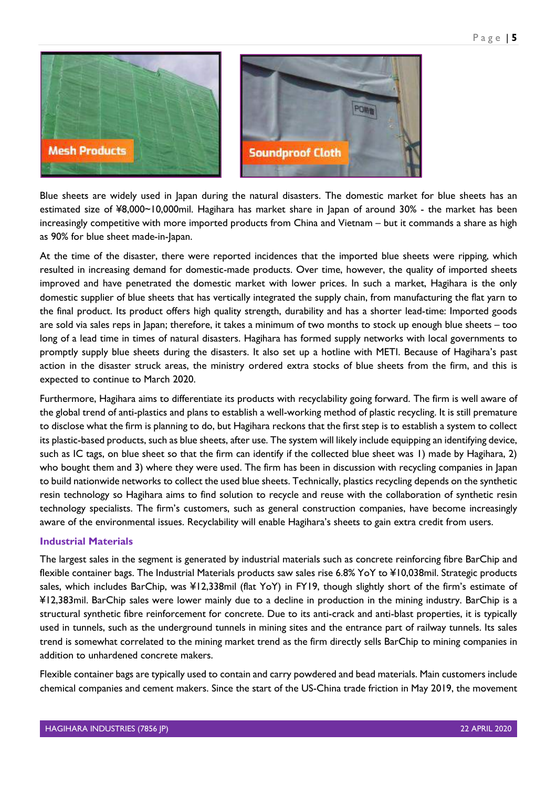

Blue sheets are widely used in Japan during the natural disasters. The domestic market for blue sheets has an estimated size of ¥8,000~10,000mil. Hagihara has market share in Japan of around 30% - the market has been increasingly competitive with more imported products from China and Vietnam – but it commands a share as high as 90% for blue sheet made-in-Japan.

At the time of the disaster, there were reported incidences that the imported blue sheets were ripping, which resulted in increasing demand for domestic-made products. Over time, however, the quality of imported sheets improved and have penetrated the domestic market with lower prices. In such a market, Hagihara is the only domestic supplier of blue sheets that has vertically integrated the supply chain, from manufacturing the flat yarn to the final product. Its product offers high quality strength, durability and has a shorter lead-time: Imported goods are sold via sales reps in Japan; therefore, it takes a minimum of two months to stock up enough blue sheets – too long of a lead time in times of natural disasters. Hagihara has formed supply networks with local governments to promptly supply blue sheets during the disasters. It also set up a hotline with METI. Because of Hagihara's past action in the disaster struck areas, the ministry ordered extra stocks of blue sheets from the firm, and this is expected to continue to March 2020.

Furthermore, Hagihara aims to differentiate its products with recyclability going forward. The firm is well aware of the global trend of anti-plastics and plans to establish a well-working method of plastic recycling. It is still premature to disclose what the firm is planning to do, but Hagihara reckons that the first step is to establish a system to collect its plastic-based products, such as blue sheets, after use. The system will likely include equipping an identifying device, such as IC tags, on blue sheet so that the firm can identify if the collected blue sheet was 1) made by Hagihara, 2) who bought them and 3) where they were used. The firm has been in discussion with recycling companies in Japan to build nationwide networks to collect the used blue sheets. Technically, plastics recycling depends on the synthetic resin technology so Hagihara aims to find solution to recycle and reuse with the collaboration of synthetic resin technology specialists. The firm's customers, such as general construction companies, have become increasingly aware of the environmental issues. Recyclability will enable Hagihara's sheets to gain extra credit from users.

#### <span id="page-5-0"></span>**Industrial Materials**

The largest sales in the segment is generated by industrial materials such as concrete reinforcing fibre BarChip and flexible container bags. The Industrial Materials products saw sales rise 6.8% YoY to ¥10,038mil. Strategic products sales, which includes BarChip, was ¥12,338mil (flat YoY) in FY19, though slightly short of the firm's estimate of ¥12,383mil. BarChip sales were lower mainly due to a decline in production in the mining industry. BarChip is a structural synthetic fibre reinforcement for concrete. Due to its anti-crack and anti-blast properties, it is typically used in tunnels, such as the underground tunnels in mining sites and the entrance part of railway tunnels. Its sales trend is somewhat correlated to the mining market trend as the firm directly sells BarChip to mining companies in addition to unhardened concrete makers.

Flexible container bags are typically used to contain and carry powdered and bead materials. Main customers include chemical companies and cement makers. Since the start of the US-China trade friction in May 2019, the movement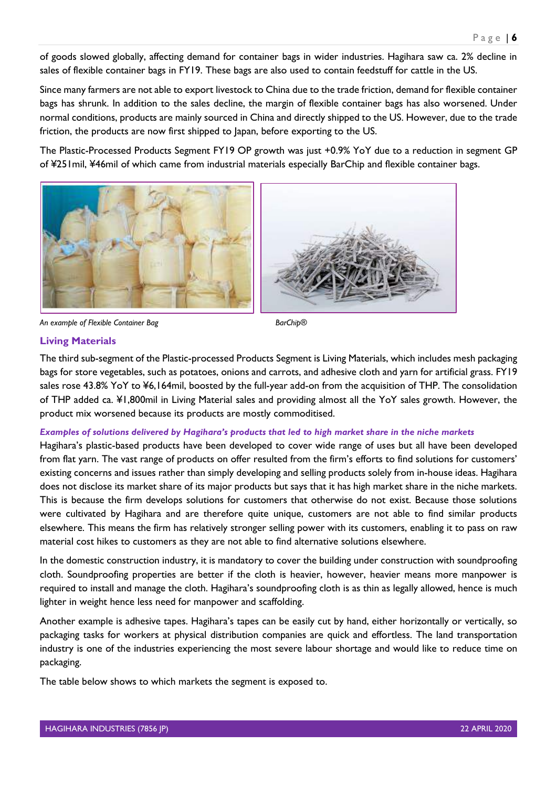of goods slowed globally, affecting demand for container bags in wider industries. Hagihara saw ca. 2% decline in sales of flexible container bags in FY19. These bags are also used to contain feedstuff for cattle in the US.

Since many farmers are not able to export livestock to China due to the trade friction, demand for flexible container bags has shrunk. In addition to the sales decline, the margin of flexible container bags has also worsened. Under normal conditions, products are mainly sourced in China and directly shipped to the US. However, due to the trade friction, the products are now first shipped to Japan, before exporting to the US.

The Plastic-Processed Products Segment FY19 OP growth was just +0.9% YoY due to a reduction in segment GP of ¥251mil, ¥46mil of which came from industrial materials especially BarChip and flexible container bags.

![](_page_6_Picture_4.jpeg)

![](_page_6_Picture_5.jpeg)

*An example of Flexible Container Bag BarChip®*

#### <span id="page-6-0"></span>**Living Materials**

The third sub-segment of the Plastic-processed Products Segment is Living Materials, which includes mesh packaging bags for store vegetables, such as potatoes, onions and carrots, and adhesive cloth and yarn for artificial grass. FY19 sales rose 43.8% YoY to ¥6,164mil, boosted by the full-year add-on from the acquisition of THP. The consolidation of THP added ca. ¥1,800mil in Living Material sales and providing almost all the YoY sales growth. However, the product mix worsened because its products are mostly commoditised.

#### <span id="page-6-1"></span>*Examples of solutions delivered by Hagihara's products that led to high market share in the niche markets*

Hagihara's plastic-based products have been developed to cover wide range of uses but all have been developed from flat yarn. The vast range of products on offer resulted from the firm's efforts to find solutions for customers' existing concerns and issues rather than simply developing and selling products solely from in-house ideas. Hagihara does not disclose its market share of its major products but says that it has high market share in the niche markets. This is because the firm develops solutions for customers that otherwise do not exist. Because those solutions were cultivated by Hagihara and are therefore quite unique, customers are not able to find similar products elsewhere. This means the firm has relatively stronger selling power with its customers, enabling it to pass on raw material cost hikes to customers as they are not able to find alternative solutions elsewhere.

In the domestic construction industry, it is mandatory to cover the building under construction with soundproofing cloth. Soundproofing properties are better if the cloth is heavier, however, heavier means more manpower is required to install and manage the cloth. Hagihara's soundproofing cloth is as thin as legally allowed, hence is much lighter in weight hence less need for manpower and scaffolding.

Another example is adhesive tapes. Hagihara's tapes can be easily cut by hand, either horizontally or vertically, so packaging tasks for workers at physical distribution companies are quick and effortless. The land transportation industry is one of the industries experiencing the most severe labour shortage and would like to reduce time on packaging.

The table below shows to which markets the segment is exposed to.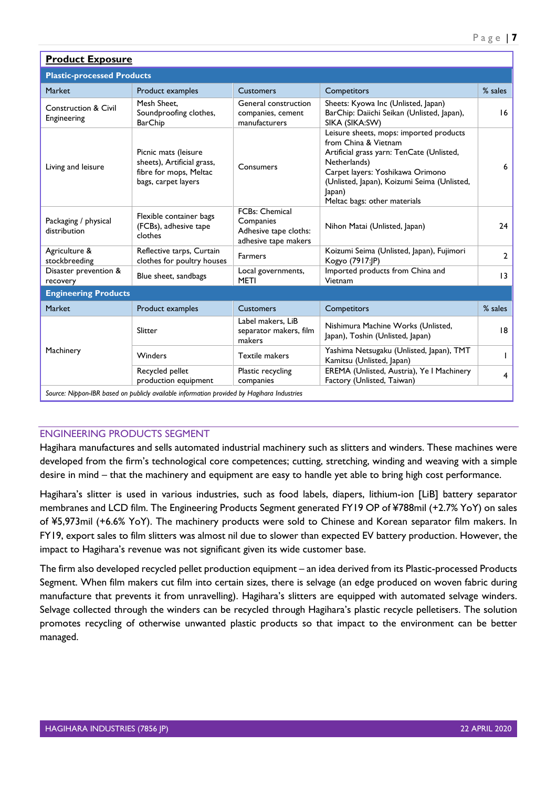| <b>Product Exposure</b>                        |                                                                                                     |                                                                              |                                                                                                                                                                                                                                                           |                 |  |  |  |  |  |
|------------------------------------------------|-----------------------------------------------------------------------------------------------------|------------------------------------------------------------------------------|-----------------------------------------------------------------------------------------------------------------------------------------------------------------------------------------------------------------------------------------------------------|-----------------|--|--|--|--|--|
| <b>Plastic-processed Products</b>              |                                                                                                     |                                                                              |                                                                                                                                                                                                                                                           |                 |  |  |  |  |  |
| Market                                         | Product examples                                                                                    | <b>Customers</b>                                                             | Competitors                                                                                                                                                                                                                                               | % sales         |  |  |  |  |  |
| <b>Construction &amp; Civil</b><br>Engineering | Mesh Sheet.<br>Soundproofing clothes,<br><b>BarChip</b>                                             | General construction<br>companies, cement<br>manufacturers                   | Sheets: Kyowa Inc (Unlisted, Japan)<br>BarChip: Daiichi Seikan (Unlisted, Japan),<br>SIKA (SIKA:SW)                                                                                                                                                       | 16              |  |  |  |  |  |
| Living and leisure                             | Picnic mats (leisure<br>sheets), Artificial grass,<br>fibre for mops, Meltac<br>bags, carpet layers | Consumers                                                                    | Leisure sheets, mops: imported products<br>from China & Vietnam<br>Artificial grass yarn: TenCate (Unlisted,<br>Netherlands)<br>Carpet layers: Yoshikawa Orimono<br>(Unlisted, Japan), Koizumi Seima (Unlisted,<br>Japan)<br>Meltac bags: other materials | 6               |  |  |  |  |  |
| Packaging / physical<br>distribution           | Flexible container bags<br>(FCBs), adhesive tape<br>clothes                                         | FCBs: Chemical<br>Companies<br>Adhesive tape cloths:<br>adhesive tape makers | Nihon Matai (Unlisted, Japan)                                                                                                                                                                                                                             | 24              |  |  |  |  |  |
| Agriculture &<br>stockbreeding                 | Reflective tarps, Curtain<br>clothes for poultry houses                                             | <b>Farmers</b>                                                               | Koizumi Seima (Unlisted, Japan), Fujimori<br>Kogyo (7917:JP)                                                                                                                                                                                              | $\mathbf{2}$    |  |  |  |  |  |
| Disaster prevention &<br>recovery              | Blue sheet, sandbags                                                                                | Local governments,<br><b>METI</b>                                            | Imported products from China and<br>Vietnam                                                                                                                                                                                                               | $\overline{13}$ |  |  |  |  |  |
| <b>Engineering Products</b>                    |                                                                                                     |                                                                              |                                                                                                                                                                                                                                                           |                 |  |  |  |  |  |
| Market                                         | Product examples                                                                                    | <b>Customers</b>                                                             | Competitors                                                                                                                                                                                                                                               | % sales         |  |  |  |  |  |
| Machinery                                      | Slitter                                                                                             | Label makers, LiB<br>separator makers, film<br>makers                        | Nishimura Machine Works (Unlisted,<br>Japan), Toshin (Unlisted, Japan)                                                                                                                                                                                    | 18              |  |  |  |  |  |
|                                                | Winders                                                                                             | <b>Textile makers</b>                                                        | Yashima Netsugaku (Unlisted, Japan), TMT<br>Kamitsu (Unlisted, Japan)                                                                                                                                                                                     |                 |  |  |  |  |  |
|                                                | Recycled pellet<br>production equipment                                                             | Plastic recycling<br>companies                                               | EREMA (Unlisted, Austria), Ye I Machinery<br>Factory (Unlisted, Taiwan)                                                                                                                                                                                   | 4               |  |  |  |  |  |
|                                                | Source: Nippon-IBR based on publicly available information provided by Hagihara Industries          |                                                                              |                                                                                                                                                                                                                                                           |                 |  |  |  |  |  |

# <span id="page-7-0"></span>ENGINEERING PRODUCTS SEGMENT

Hagihara manufactures and sells automated industrial machinery such as slitters and winders. These machines were developed from the firm's technological core competences; cutting, stretching, winding and weaving with a simple desire in mind – that the machinery and equipment are easy to handle yet able to bring high cost performance.

Hagihara's slitter is used in various industries, such as food labels, diapers, lithium-ion [LiB] battery separator membranes and LCD film. The Engineering Products Segment generated FY19 OP of ¥788mil (+2.7% YoY) on sales of ¥5,973mil (+6.6% YoY). The machinery products were sold to Chinese and Korean separator film makers. In FY19, export sales to film slitters was almost nil due to slower than expected EV battery production. However, the impact to Hagihara's revenue was not significant given its wide customer base.

The firm also developed recycled pellet production equipment – an idea derived from its Plastic-processed Products Segment. When film makers cut film into certain sizes, there is selvage (an edge produced on woven fabric during manufacture that prevents it from unravelling). Hagihara's slitters are equipped with automated selvage winders. Selvage collected through the winders can be recycled through Hagihara's plastic recycle pelletisers. The solution promotes recycling of otherwise unwanted plastic products so that impact to the environment can be better managed.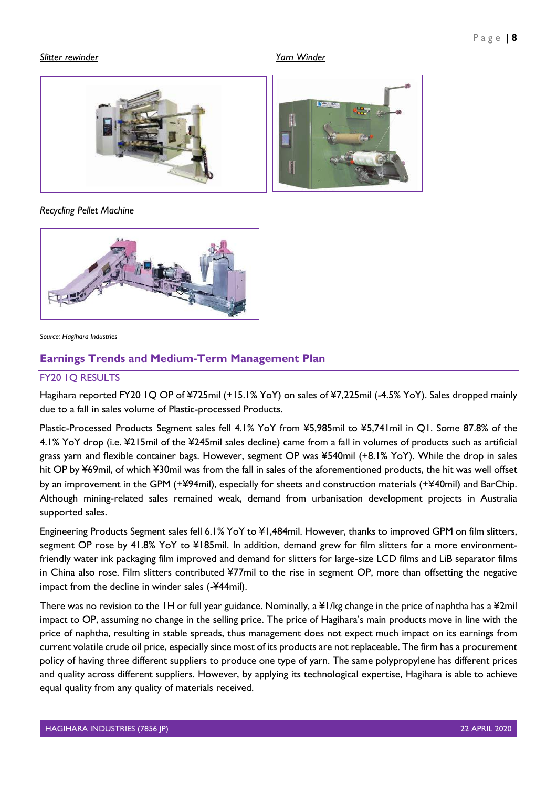#### *Slitter rewinder Yarn Winder*

![](_page_8_Picture_3.jpeg)

#### *Recycling Pellet Machine*

![](_page_8_Picture_5.jpeg)

*Source: Hagihara Industries*

# <span id="page-8-0"></span>**Earnings Trends and Medium-Term Management Plan**

## <span id="page-8-1"></span>FY20 1Q RESULTS

Hagihara reported FY20 1Q OP of ¥725mil (+15.1% YoY) on sales of ¥7,225mil (-4.5% YoY). Sales dropped mainly due to a fall in sales volume of Plastic-processed Products.

Plastic-Processed Products Segment sales fell 4.1% YoY from ¥5,985mil to ¥5,741mil in Q1. Some 87.8% of the 4.1% YoY drop (i.e. ¥215mil of the ¥245mil sales decline) came from a fall in volumes of products such as artificial grass yarn and flexible container bags. However, segment OP was ¥540mil (+8.1% YoY). While the drop in sales hit OP by ¥69mil, of which ¥30mil was from the fall in sales of the aforementioned products, the hit was well offset by an improvement in the GPM (+¥94mil), especially for sheets and construction materials (+¥40mil) and BarChip. Although mining-related sales remained weak, demand from urbanisation development projects in Australia supported sales.

Engineering Products Segment sales fell 6.1% YoY to ¥1,484mil. However, thanks to improved GPM on film slitters, segment OP rose by 41.8% YoY to ¥185mil. In addition, demand grew for film slitters for a more environmentfriendly water ink packaging film improved and demand for slitters for large-size LCD films and LiB separator films in China also rose. Film slitters contributed ¥77mil to the rise in segment OP, more than offsetting the negative impact from the decline in winder sales (-¥44mil).

There was no revision to the 1H or full year guidance. Nominally, a ¥1/kg change in the price of naphtha has a ¥2mil impact to OP, assuming no change in the selling price. The price of Hagihara's main products move in line with the price of naphtha, resulting in stable spreads, thus management does not expect much impact on its earnings from current volatile crude oil price, especially since most of its products are not replaceable. The firm has a procurement policy of having three different suppliers to produce one type of yarn. The same polypropylene has different prices and quality across different suppliers. However, by applying its technological expertise, Hagihara is able to achieve equal quality from any quality of materials received.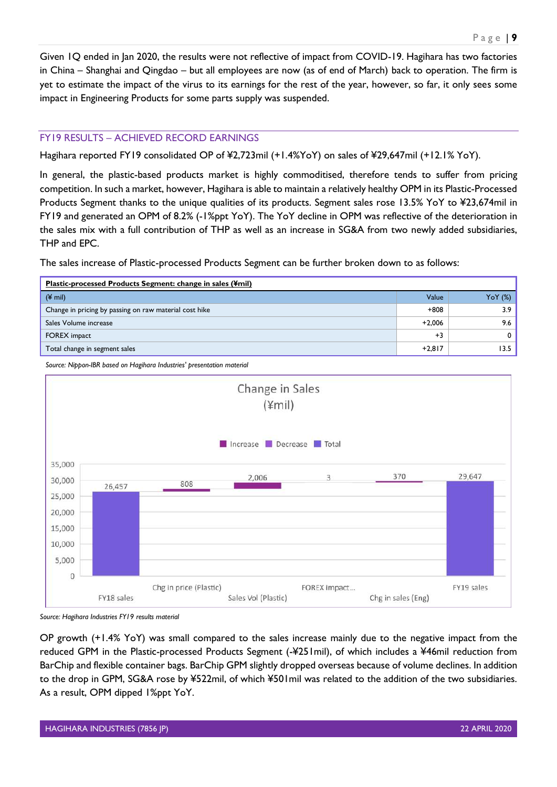Given 1Q ended in Jan 2020, the results were not reflective of impact from COVID-19. Hagihara has two factories in China – Shanghai and Qingdao – but all employees are now (as of end of March) back to operation. The firm is yet to estimate the impact of the virus to its earnings for the rest of the year, however, so far, it only sees some impact in Engineering Products for some parts supply was suspended.

#### <span id="page-9-0"></span>FY19 RESULTS – ACHIEVED RECORD EARNINGS

Hagihara reported FY19 consolidated OP of ¥2,723mil (+1.4%YoY) on sales of ¥29,647mil (+12.1% YoY).

In general, the plastic-based products market is highly commoditised, therefore tends to suffer from pricing competition. In such a market, however, Hagihara is able to maintain a relatively healthy OPM in its Plastic-Processed Products Segment thanks to the unique qualities of its products. Segment sales rose 13.5% YoY to ¥23,674mil in FY19 and generated an OPM of 8.2% (-1%ppt YoY). The YoY decline in OPM was reflective of the deterioration in the sales mix with a full contribution of THP as well as an increase in SG&A from two newly added subsidiaries, THP and EPC.

The sales increase of Plastic-processed Products Segment can be further broken down to as follows:

| Plastic-processed Products Segment: change in sales (\#mil) |          |                         |  |  |  |  |  |
|-------------------------------------------------------------|----------|-------------------------|--|--|--|--|--|
| $(4 \text{ mil})$                                           | Value    | $\gamma$ o $\gamma$ (%) |  |  |  |  |  |
| Change in pricing by passing on raw material cost hike      | $+808$   | 3.9 <sub>1</sub>        |  |  |  |  |  |
| Sales Volume increase                                       | $+2.006$ | 9.6                     |  |  |  |  |  |
| <b>FOREX</b> impact                                         | $+3$     | 0                       |  |  |  |  |  |
| Total change in segment sales                               | $+2,817$ | 13.5                    |  |  |  |  |  |

*Source: Nippon-IBR based on Hagihara Industries' presentation material*

![](_page_9_Figure_7.jpeg)

*Source: Hagihara Industries FY19 results material*

OP growth (+1.4% YoY) was small compared to the sales increase mainly due to the negative impact from the reduced GPM in the Plastic-processed Products Segment (-¥251mil), of which includes a ¥46mil reduction from BarChip and flexible container bags. BarChip GPM slightly dropped overseas because of volume declines. In addition to the drop in GPM, SG&A rose by ¥522mil, of which ¥501mil was related to the addition of the two subsidiaries. As a result, OPM dipped 1%ppt YoY.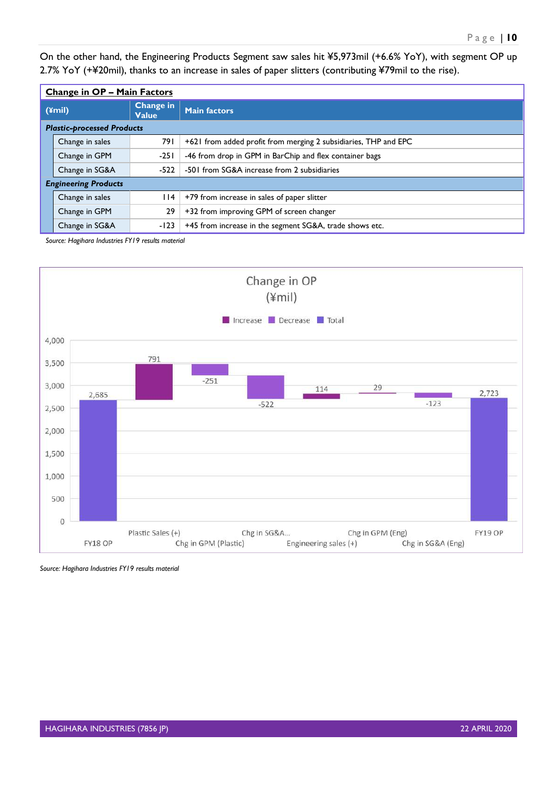On the other hand, the Engineering Products Segment saw sales hit ¥5,973mil (+6.6% YoY), with segment OP up 2.7% YoY (+¥20mil), thanks to an increase in sales of paper slitters (contributing ¥79mil to the rise).

|                                           | <b>Change in OP - Main Factors</b> |        |                                                                 |  |  |  |  |
|-------------------------------------------|------------------------------------|--------|-----------------------------------------------------------------|--|--|--|--|
| Change in<br>$(\text{2})$<br><b>Value</b> |                                    |        | <b>Main factors</b>                                             |  |  |  |  |
|                                           | <b>Plastic-processed Products</b>  |        |                                                                 |  |  |  |  |
|                                           | Change in sales                    | 791    | +621 from added profit from merging 2 subsidiaries, THP and EPC |  |  |  |  |
|                                           | Change in GPM                      | $-251$ | -46 from drop in GPM in BarChip and flex container bags         |  |  |  |  |
|                                           | Change in SG&A                     | $-522$ | -501 from SG&A increase from 2 subsidiaries                     |  |  |  |  |
|                                           | <b>Engineering Products</b>        |        |                                                                 |  |  |  |  |
|                                           | Change in sales                    | l 14   | +79 from increase in sales of paper slitter                     |  |  |  |  |
|                                           | Change in GPM                      | 29     | +32 from improving GPM of screen changer                        |  |  |  |  |
|                                           | Change in SG&A                     | $-123$ | +45 from increase in the segment SG&A, trade shows etc.         |  |  |  |  |

*Source: Hagihara Industries FY19 results material*

![](_page_10_Figure_4.jpeg)

*Source: Hagihara Industries FY19 results material*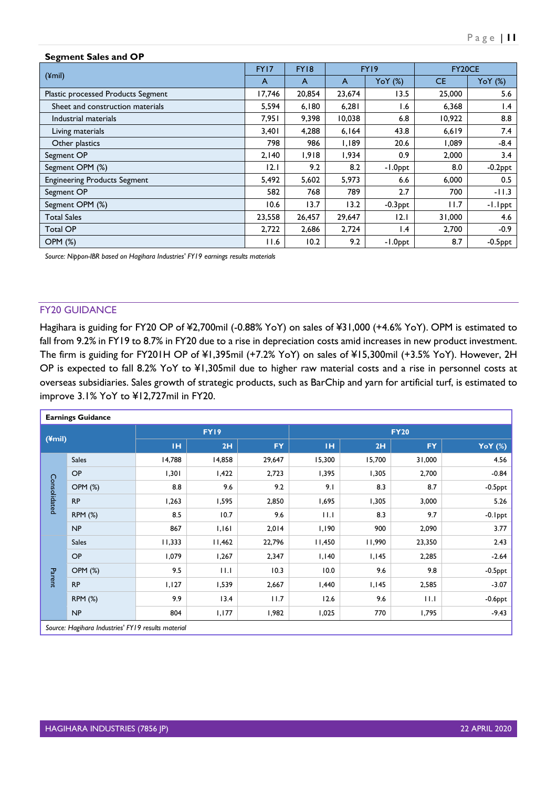| <b>Segment Sales and OP</b>         |        |             |        |                 |           |                 |  |  |
|-------------------------------------|--------|-------------|--------|-----------------|-----------|-----------------|--|--|
| $(\text{ymin})$                     | FY17   | <b>FY18</b> | FY19   |                 | FY20CE    |                 |  |  |
|                                     | A      | A           | A      | YoY(%)          | <b>CE</b> | YoY(%)          |  |  |
| Plastic processed Products Segment  | 17,746 | 20,854      | 23,674 | 13.5            | 25,000    | 5.6             |  |  |
| Sheet and construction materials    | 5,594  | 6,180       | 6,281  | 1.6             | 6,368     | $\mathsf{I}$ .4 |  |  |
| Industrial materials                | 7.951  | 9,398       | 10,038 | 6.8             | 10,922    | 8.8             |  |  |
| Living materials                    | 3,401  | 4,288       | 6,164  | 43.8            | 6,619     | 7.4             |  |  |
| Other plastics                      | 798    | 986         | 1,189  | 20.6            | 1,089     | $-8.4$          |  |  |
| Segment OP                          | 2,140  | 1,918       | 1,934  | 0.9             | 2,000     | 3.4             |  |  |
| Segment OPM (%)                     | 12.1   | 9.2         | 8.2    | -1.0ppt         | 8.0       | $-0.2$ ppt      |  |  |
| <b>Engineering Products Segment</b> | 5,492  | 5,602       | 5,973  | 6.6             | 6,000     | 0.5             |  |  |
| Segment OP                          | 582    | 768         | 789    | 2.7             | 700       | $-11.3$         |  |  |
| Segment OPM (%)                     | 10.6   | 13.7        | 13.2   | $-0.3$ ppt      | 11.7      | -1.1ppt         |  |  |
| <b>Total Sales</b>                  | 23,558 | 26,457      | 29,647 | 2.1             | 31,000    | 4.6             |  |  |
| <b>Total OP</b>                     | 2,722  | 2,686       | 2,724  | $\mathsf{I}$ .4 | 2,700     | $-0.9$          |  |  |
| <b>OPM (%)</b>                      | 11.6   | 10.2        | 9.2    | -1.0ppt         | 8.7       | $-0.5$ ppt      |  |  |

*Source: Nippon-IBR based on Hagihara Industries' FY19 earnings results materials*

#### <span id="page-11-0"></span>FY20 GUIDANCE

Hagihara is guiding for FY20 OP of ¥2,700mil (-0.88% YoY) on sales of ¥31,000 (+4.6% YoY). OPM is estimated to fall from 9.2% in FY19 to 8.7% in FY20 due to a rise in depreciation costs amid increases in new product investment. The firm is guiding for FY201H OP of ¥1,395mil (+7.2% YoY) on sales of ¥15,300mil (+3.5% YoY). However, 2H OP is expected to fall 8.2% YoY to ¥1,305mil due to higher raw material costs and a rise in personnel costs at overseas subsidiaries. Sales growth of strategic products, such as BarChip and yarn for artificial turf, is estimated to improve 3.1% YoY to ¥12,727mil in FY20.

| <b>Earnings Guidance</b> |                                                    |           |        |           |        |             |           |                |  |  |
|--------------------------|----------------------------------------------------|-----------|--------|-----------|--------|-------------|-----------|----------------|--|--|
| (4mi)                    |                                                    |           | FY19   |           |        | <b>FY20</b> |           |                |  |  |
|                          |                                                    | <b>IH</b> | 2H     | <b>FY</b> | TH.    | 2H          | <b>FY</b> | <b>YoY</b> (%) |  |  |
|                          | <b>Sales</b>                                       | 14,788    | 14,858 | 29,647    | 15,300 | 15,700      | 31,000    | 4.56           |  |  |
|                          | <b>OP</b>                                          | 1,301     | 1,422  | 2,723     | 1,395  | 1,305       | 2,700     | $-0.84$        |  |  |
|                          | <b>OPM (%)</b>                                     | 8.8       | 9.6    | 9.2       | 9.1    | 8.3         | 8.7       | $-0.5$ ppt     |  |  |
| Consolidated             | <b>RP</b>                                          | 1,263     | 1,595  | 2,850     | 1,695  | 1,305       | 3,000     | 5.26           |  |  |
|                          | <b>RPM (%)</b>                                     | 8.5       | 10.7   | 9.6       | 11.1   | 8.3         | 9.7       | $-0.1$ ppt     |  |  |
|                          | NP                                                 | 867       | 1,161  | 2,014     | 1,190  | 900         | 2,090     | 3.77           |  |  |
|                          | <b>Sales</b>                                       | 11,333    | 11,462 | 22,796    | 11,450 | 11,990      | 23,350    | 2.43           |  |  |
|                          | OP                                                 | 1,079     | 1,267  | 2,347     | I, I40 | 1,145       | 2,285     | $-2.64$        |  |  |
|                          | <b>OPM (%)</b>                                     | 9.5       | 11.1   | 10.3      | 10.0   | 9.6         | 9.8       | $-0.5$ ppt     |  |  |
| Parent                   | <b>RP</b>                                          | 1,127     | 1,539  | 2,667     | 1,440  | 1,145       | 2,585     | $-3.07$        |  |  |
|                          | <b>RPM (%)</b>                                     | 9.9       | 13.4   | 11.7      | 12.6   | 9.6         | 11.1      | $-0.6$ ppt     |  |  |
|                          | NP                                                 | 804       | 1,177  | 1,982     | 1,025  | 770         | 1,795     | $-9.43$        |  |  |
|                          | Source: Hagihara Industries' FY19 results material |           |        |           |        |             |           |                |  |  |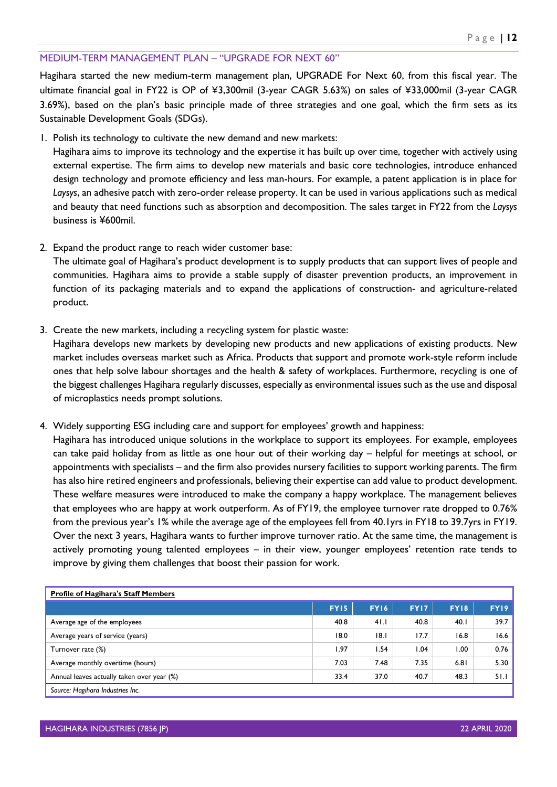#### <span id="page-12-0"></span>MEDIUM-TERM MANAGEMENT PLAN – "UPGRADE FOR NEXT 60"

Hagihara started the new medium-term management plan, UPGRADE For Next 60, from this fiscal year. The ultimate financial goal in FY22 is OP of ¥3,300mil (3-year CAGR 5.63%) on sales of ¥33,000mil (3-year CAGR 3.69%), based on the plan's basic principle made of three strategies and one goal, which the firm sets as its Sustainable Development Goals (SDGs).

1. Polish its technology to cultivate the new demand and new markets:

Hagihara aims to improve its technology and the expertise it has built up over time, together with actively using external expertise. The firm aims to develop new materials and basic core technologies, introduce enhanced design technology and promote efficiency and less man-hours. For example, a patent application is in place for *Laysys*, an adhesive patch with zero-order release property. It can be used in various applications such as medical and beauty that need functions such as absorption and decomposition. The sales target in FY22 from the *Laysys* business is ¥600mil.

2. Expand the product range to reach wider customer base:

The ultimate goal of Hagihara's product development is to supply products that can support lives of people and communities. Hagihara aims to provide a stable supply of disaster prevention products, an improvement in function of its packaging materials and to expand the applications of construction- and agriculture-related product.

3. Create the new markets, including a recycling system for plastic waste:

Hagihara develops new markets by developing new products and new applications of existing products. New market includes overseas market such as Africa. Products that support and promote work-style reform include ones that help solve labour shortages and the health & safety of workplaces. Furthermore, recycling is one of the biggest challenges Hagihara regularly discusses, especially as environmental issues such as the use and disposal of microplastics needs prompt solutions.

4. Widely supporting ESG including care and support for employees' growth and happiness:

Hagihara has introduced unique solutions in the workplace to support its employees. For example, employees can take paid holiday from as little as one hour out of their working day – helpful for meetings at school, or appointments with specialists – and the firm also provides nursery facilities to support working parents. The firm has also hire retired engineers and professionals, believing their expertise can add value to product development. These welfare measures were introduced to make the company a happy workplace. The management believes that employees who are happy at work outperform. As of FY19, the employee turnover rate dropped to 0.76% from the previous year's 1% while the average age of the employees fell from 40.1yrs in FY18 to 39.7yrs in FY19. Over the next 3 years, Hagihara wants to further improve turnover ratio. At the same time, the management is actively promoting young talented employees – in their view, younger employees' retention rate tends to improve by giving them challenges that boost their passion for work.

| <b>Profile of Hagihara's Staff Members</b> |             |             |             |             |      |  |  |
|--------------------------------------------|-------------|-------------|-------------|-------------|------|--|--|
|                                            | <b>FY15</b> | <b>FY16</b> | <b>FY17</b> | <b>FY18</b> | FY19 |  |  |
| Average age of the employees               | 40.8        | 41.1        | 40.8        | 40.1        | 39.7 |  |  |
| Average years of service (years)           | 18.0        | 8.1         | 17.7        | 16.8        | 16.6 |  |  |
| Turnover rate (%)                          | 1.97        | l.54        | .04         | 1.00        | 0.76 |  |  |
| Average monthly overtime (hours)           | 7.03        | 7.48        | 7.35        | 6.81        | 5.30 |  |  |
| Annual leaves actually taken over year (%) | 33.4        | 37.0        | 40.7        | 48.3        | 51.1 |  |  |
| Source: Hagihara Industries Inc.           |             |             |             |             |      |  |  |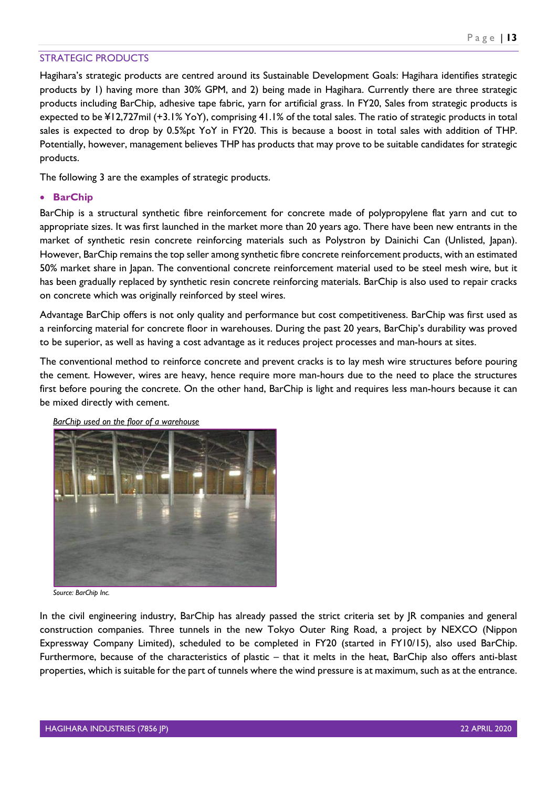#### <span id="page-13-0"></span>STRATEGIC PRODUCTS

Hagihara's strategic products are centred around its Sustainable Development Goals: Hagihara identifies strategic products by 1) having more than 30% GPM, and 2) being made in Hagihara. Currently there are three strategic products including BarChip, adhesive tape fabric, yarn for artificial grass. In FY20, Sales from strategic products is expected to be ¥12,727mil (+3.1% YoY), comprising 41.1% of the total sales. The ratio of strategic products in total sales is expected to drop by 0.5%pt YoY in FY20. This is because a boost in total sales with addition of THP. Potentially, however, management believes THP has products that may prove to be suitable candidates for strategic products.

The following 3 are the examples of strategic products.

#### • **BarChip**

BarChip is a structural synthetic fibre reinforcement for concrete made of polypropylene flat yarn and cut to appropriate sizes. It was first launched in the market more than 20 years ago. There have been new entrants in the market of synthetic resin concrete reinforcing materials such as Polystron by Dainichi Can (Unlisted, Japan). However, BarChip remains the top seller among synthetic fibre concrete reinforcement products, with an estimated 50% market share in Japan. The conventional concrete reinforcement material used to be steel mesh wire, but it has been gradually replaced by synthetic resin concrete reinforcing materials. BarChip is also used to repair cracks on concrete which was originally reinforced by steel wires.

Advantage BarChip offers is not only quality and performance but cost competitiveness. BarChip was first used as a reinforcing material for concrete floor in warehouses. During the past 20 years, BarChip's durability was proved to be superior, as well as having a cost advantage as it reduces project processes and man-hours at sites.

The conventional method to reinforce concrete and prevent cracks is to lay mesh wire structures before pouring the cement. However, wires are heavy, hence require more man-hours due to the need to place the structures first before pouring the concrete. On the other hand, BarChip is light and requires less man-hours because it can be mixed directly with cement.

![](_page_13_Picture_8.jpeg)

*BarChip used on the floor of a warehouse*

*Source: BarChip Inc.*

In the civil engineering industry, BarChip has already passed the strict criteria set by JR companies and general construction companies. Three tunnels in the new Tokyo Outer Ring Road, a project by NEXCO (Nippon Expressway Company Limited), scheduled to be completed in FY20 (started in FY10/15), also used BarChip. Furthermore, because of the characteristics of plastic – that it melts in the heat, BarChip also offers anti-blast properties, which is suitable for the part of tunnels where the wind pressure is at maximum, such as at the entrance.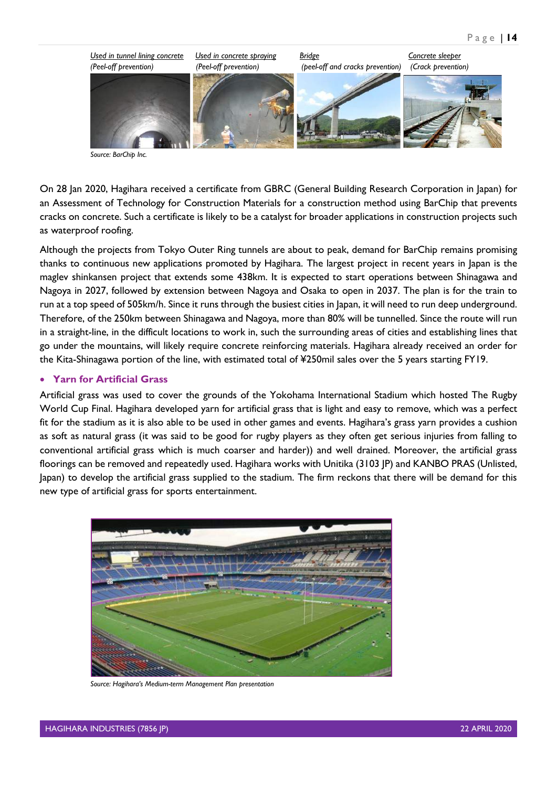![](_page_14_Picture_1.jpeg)

*Source: BarChip Inc.*

On 28 Jan 2020, Hagihara received a certificate from GBRC (General Building Research Corporation in Japan) for an Assessment of Technology for Construction Materials for a construction method using BarChip that prevents cracks on concrete. Such a certificate is likely to be a catalyst for broader applications in construction projects such as waterproof roofing.

Although the projects from Tokyo Outer Ring tunnels are about to peak, demand for BarChip remains promising thanks to continuous new applications promoted by Hagihara. The largest project in recent years in Japan is the maglev shinkansen project that extends some 438km. It is expected to start operations between Shinagawa and Nagoya in 2027, followed by extension between Nagoya and Osaka to open in 2037. The plan is for the train to run at a top speed of 505km/h. Since it runs through the busiest cities in Japan, it will need to run deep underground. Therefore, of the 250km between Shinagawa and Nagoya, more than 80% will be tunnelled. Since the route will run in a straight-line, in the difficult locations to work in, such the surrounding areas of cities and establishing lines that go under the mountains, will likely require concrete reinforcing materials. Hagihara already received an order for the Kita-Shinagawa portion of the line, with estimated total of ¥250mil sales over the 5 years starting FY19.

#### • **Yarn for Artificial Grass**

Artificial grass was used to cover the grounds of the Yokohama International Stadium which hosted The Rugby World Cup Final. Hagihara developed yarn for artificial grass that is light and easy to remove, which was a perfect fit for the stadium as it is also able to be used in other games and events. Hagihara's grass yarn provides a cushion as soft as natural grass (it was said to be good for rugby players as they often get serious injuries from falling to conventional artificial grass which is much coarser and harder)) and well drained. Moreover, the artificial grass floorings can be removed and repeatedly used. Hagihara works with Unitika (3103 JP) and KANBO PRAS (Unlisted, Japan) to develop the artificial grass supplied to the stadium. The firm reckons that there will be demand for this new type of artificial grass for sports entertainment.

![](_page_14_Picture_7.jpeg)

*Source: Hagihara's Medium-term Management Plan presentation*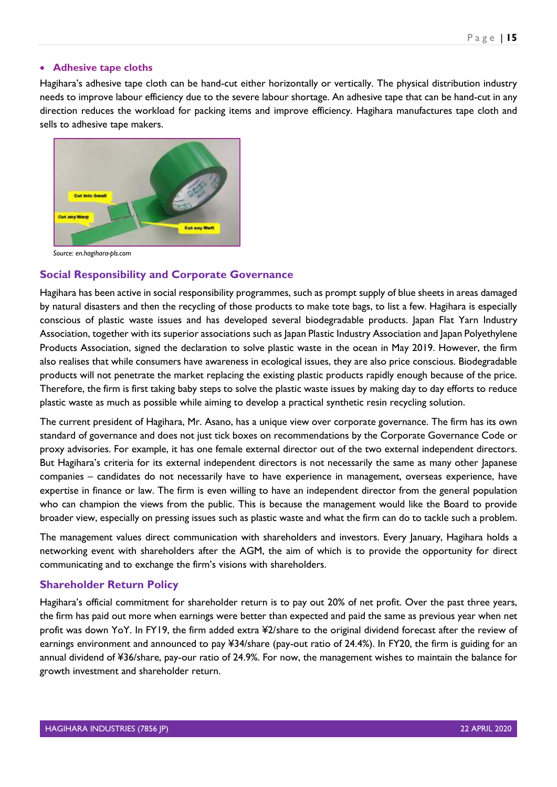#### • **Adhesive tape cloths**

Hagihara's adhesive tape cloth can be hand-cut either horizontally or vertically. The physical distribution industry needs to improve labour efficiency due to the severe labour shortage. An adhesive tape that can be hand-cut in any direction reduces the workload for packing items and improve efficiency. Hagihara manufactures tape cloth and sells to adhesive tape makers.

![](_page_15_Picture_3.jpeg)

*Source: en.hagihara-pls.com*

## <span id="page-15-0"></span>**Social Responsibility and Corporate Governance**

Hagihara has been active in social responsibility programmes, such as prompt supply of blue sheets in areas damaged by natural disasters and then the recycling of those products to make tote bags, to list a few. Hagihara is especially conscious of plastic waste issues and has developed several biodegradable products. Japan Flat Yarn Industry Association, together with its superior associations such as Japan Plastic Industry Association and Japan Polyethylene Products Association, signed the declaration to solve plastic waste in the ocean in May 2019. However, the firm also realises that while consumers have awareness in ecological issues, they are also price conscious. Biodegradable products will not penetrate the market replacing the existing plastic products rapidly enough because of the price. Therefore, the firm is first taking baby steps to solve the plastic waste issues by making day to day efforts to reduce plastic waste as much as possible while aiming to develop a practical synthetic resin recycling solution.

The current president of Hagihara, Mr. Asano, has a unique view over corporate governance. The firm has its own standard of governance and does not just tick boxes on recommendations by the Corporate Governance Code or proxy advisories. For example, it has one female external director out of the two external independent directors. But Hagihara's criteria for its external independent directors is not necessarily the same as many other Japanese companies – candidates do not necessarily have to have experience in management, overseas experience, have expertise in finance or law. The firm is even willing to have an independent director from the general population who can champion the views from the public. This is because the management would like the Board to provide broader view, especially on pressing issues such as plastic waste and what the firm can do to tackle such a problem.

The management values direct communication with shareholders and investors. Every January, Hagihara holds a networking event with shareholders after the AGM, the aim of which is to provide the opportunity for direct communicating and to exchange the firm's visions with shareholders.

## <span id="page-15-1"></span>**Shareholder Return Policy**

Hagihara's official commitment for shareholder return is to pay out 20% of net profit. Over the past three years, the firm has paid out more when earnings were better than expected and paid the same as previous year when net profit was down YoY. In FY19, the firm added extra ¥2/share to the original dividend forecast after the review of earnings environment and announced to pay ¥34/share (pay-out ratio of 24.4%). In FY20, the firm is guiding for an annual dividend of ¥36/share, pay-our ratio of 24.9%. For now, the management wishes to maintain the balance for growth investment and shareholder return.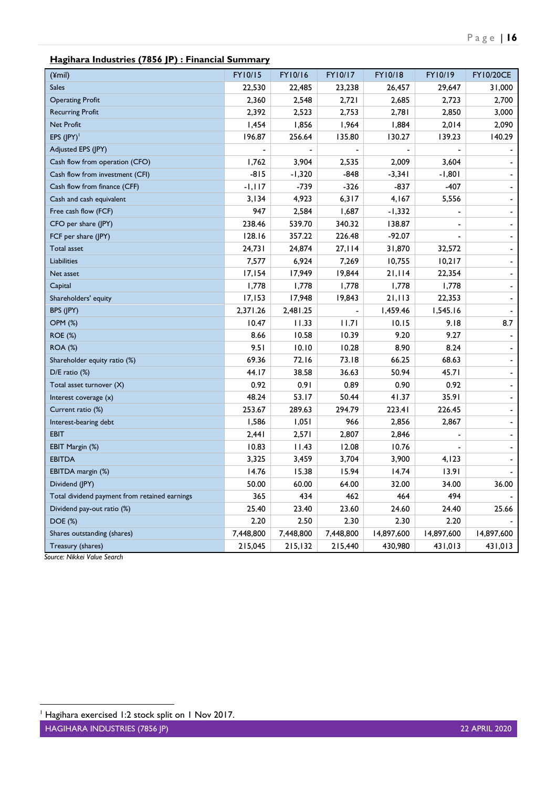# **Hagihara Industries (7856 JP) : Financial Summary**

| (¥mil)                                        | <b>FY10/15</b> | FY10/16   | FY10/17   | FY10/18    | FY10/19    | <b>FY10/20CE</b>         |
|-----------------------------------------------|----------------|-----------|-----------|------------|------------|--------------------------|
| <b>Sales</b>                                  | 22,530         | 22,485    | 23,238    | 26,457     | 29,647     | 31,000                   |
| <b>Operating Profit</b>                       | 2,360          | 2,548     | 2,721     | 2,685      | 2,723      | 2,700                    |
| <b>Recurring Profit</b>                       | 2,392          | 2,523     | 2,753     | 2,781      | 2,850      | 3,000                    |
| <b>Net Profit</b>                             | 1,454          | 1,856     | 1,964     | 1,884      | 2,014      | 2,090                    |
| EPS $(IPY)^{T}$                               | 196.87         | 256.64    | 135.80    | 130.27     | 139.23     | 140.29                   |
| Adjusted EPS (JPY)                            |                |           |           |            |            |                          |
| Cash flow from operation (CFO)                | 1,762          | 3,904     | 2,535     | 2,009      | 3,604      |                          |
| Cash flow from investment (CFI)               | $-815$         | $-1,320$  | $-848$    | $-3,341$   | -1,801     | $\overline{\phantom{0}}$ |
| Cash flow from finance (CFF)                  | $-1,117$       | -739      | $-326$    | $-837$     | $-407$     | $\overline{\phantom{a}}$ |
| Cash and cash equivalent                      | 3,134          | 4,923     | 6,317     | 4,167      | 5,556      | $\overline{\phantom{a}}$ |
| Free cash flow (FCF)                          | 947            | 2,584     | 1,687     | -1,332     |            | ÷,                       |
| CFO per share (JPY)                           | 238.46         | 539.70    | 340.32    | 138.87     |            | $\overline{\phantom{a}}$ |
| FCF per share (JPY)                           | 128.16         | 357.22    | 226.48    | $-92.07$   |            | $\overline{\phantom{0}}$ |
| <b>Total asset</b>                            | 24,731         | 24,874    | 27,114    | 31,870     | 32,572     | $\overline{\phantom{0}}$ |
| <b>Liabilities</b>                            | 7,577          | 6,924     | 7,269     | 10,755     | 10,217     | $\overline{\phantom{0}}$ |
| Net asset                                     | 17,154         | 17,949    | 19,844    | 21,114     | 22,354     | $\blacksquare$           |
| Capital                                       | 1,778          | 1,778     | 1,778     | 1,778      | 1,778      | $\blacksquare$           |
| Shareholders' equity                          | 17,153         | 17,948    | 19,843    | 21,113     | 22,353     | $\overline{\phantom{0}}$ |
| BPS (JPY)                                     | 2,371.26       | 2,481.25  |           | 1,459.46   | 1,545.16   |                          |
| <b>OPM (%)</b>                                | 10.47          | 11.33     | 11.71     | 10.15      | 9.18       | 8.7                      |
| <b>ROE (%)</b>                                | 8.66           | 10.58     | 10.39     | 9.20       | 9.27       |                          |
| <b>ROA (%)</b>                                | 9.51           | 10.10     | 10.28     | 8.90       | 8.24       | $\overline{\phantom{a}}$ |
| Shareholder equity ratio (%)                  | 69.36          | 72.16     | 73.18     | 66.25      | 68.63      | $\blacksquare$           |
| $D/E$ ratio $(\%)$                            | 44.17          | 38.58     | 36.63     | 50.94      | 45.71      | $\overline{\phantom{a}}$ |
| Total asset turnover (X)                      | 0.92           | 0.91      | 0.89      | 0.90       | 0.92       | $\overline{\phantom{0}}$ |
| Interest coverage (x)                         | 48.24          | 53.17     | 50.44     | 41.37      | 35.91      | ÷,                       |
| Current ratio (%)                             | 253.67         | 289.63    | 294.79    | 223.41     | 226.45     | $\overline{\phantom{a}}$ |
| Interest-bearing debt                         | 1,586          | 1,051     | 966       | 2,856      | 2,867      | $\overline{\phantom{a}}$ |
| <b>EBIT</b>                                   | 2,441          | 2,571     | 2,807     | 2,846      |            | $\overline{\phantom{a}}$ |
| EBIT Margin (%)                               | 10.83          | 11.43     | 12.08     | 10.76      |            | $\overline{\phantom{a}}$ |
| <b>EBITDA</b>                                 | 3,325          | 3,459     | 3,704     | 3,900      | 4,123      |                          |
| EBITDA margin (%)                             | 14.76          | 15.38     | 15.94     | 14.74      | 13.91      |                          |
| Dividend (JPY)                                | 50.00          | 60.00     | 64.00     | 32.00      | 34.00      | 36.00                    |
| Total dividend payment from retained earnings | 365            | 434       | 462       | 464        | 494        |                          |
| Dividend pay-out ratio (%)                    | 25.40          | 23.40     | 23.60     | 24.60      | 24.40      | 25.66                    |
| DOE (%)                                       | 2.20           | 2.50      | 2.30      | 2.30       | 2.20       |                          |
| Shares outstanding (shares)                   | 7,448,800      | 7,448,800 | 7,448,800 | 14,897,600 | 14,897,600 | 14,897,600               |
| Treasury (shares)                             | 215,045        | 215,132   | 215,440   | 430,980    | 431,013    | 431,013                  |

 *Source: Nikkei Value Search*